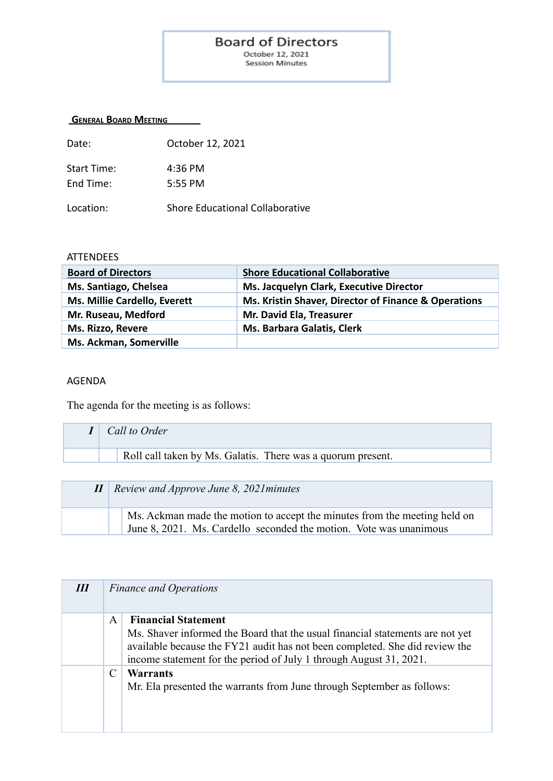## **Board of Directors**

October 12, 2021 Session Minutes

## **GENERAL BOARD MEETING**

| Date:                    | October 12, 2021       |
|--------------------------|------------------------|
| Start Time:<br>Fnd Time: | $4:36$ PM<br>$5:55$ PM |
|                          |                        |

Location: Shore Educational Collaborative

## **ATTENDEES**

| <b>Board of Directors</b>           | <b>Shore Educational Collaborative</b>               |
|-------------------------------------|------------------------------------------------------|
| Ms. Santiago, Chelsea               | Ms. Jacquelyn Clark, Executive Director              |
| <b>Ms. Millie Cardello, Everett</b> | Ms. Kristin Shaver, Director of Finance & Operations |
| Mr. Ruseau, Medford                 | Mr. David Ela, Treasurer                             |
| Ms. Rizzo, Revere                   | Ms. Barbara Galatis, Clerk                           |
| Ms. Ackman, Somerville              |                                                      |

## AGENDA

The agenda for the meeting is as follows:

| Call to Order                                               |
|-------------------------------------------------------------|
| Roll call taken by Ms. Galatis. There was a quorum present. |
|                                                             |
| $II \mid$ Review and Approve June 8, 2021 minutes           |

| Ms. Ackman made the motion to accept the minutes from the meeting held on |
|---------------------------------------------------------------------------|
| June 8, 2021. Ms. Cardello seconded the motion. Vote was unanimous        |

| Ш |   | <b>Finance and Operations</b>                                                                                                                                                                                                                                    |
|---|---|------------------------------------------------------------------------------------------------------------------------------------------------------------------------------------------------------------------------------------------------------------------|
|   | A | <b>Financial Statement</b><br>Ms. Shaver informed the Board that the usual financial statements are not yet<br>available because the FY21 audit has not been completed. She did review the<br>income statement for the period of July 1 through August 31, 2021. |
|   |   | Warrants<br>Mr. Ela presented the warrants from June through September as follows:                                                                                                                                                                               |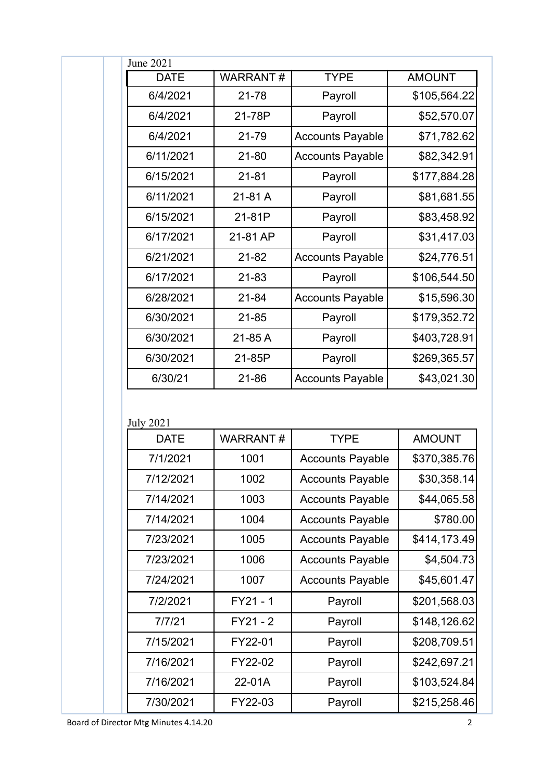| <b>DATE</b>                | <b>WARRANT#</b> | <b>TYPE</b>                                        | <b>AMOUNT</b>                                |
|----------------------------|-----------------|----------------------------------------------------|----------------------------------------------|
| 6/4/2021                   | $21 - 78$       | Payroll                                            | \$105,564.22                                 |
| 6/4/2021                   | 21-78P          | Payroll                                            | \$52,570.07                                  |
| 6/4/2021                   | 21-79           | <b>Accounts Payable</b>                            | \$71,782.62                                  |
| 6/11/2021                  | $21 - 80$       | <b>Accounts Payable</b>                            | \$82,342.91                                  |
| 6/15/2021                  | $21 - 81$       | Payroll                                            | \$177,884.28                                 |
| 6/11/2021                  | 21-81 A         | Payroll                                            | \$81,681.55                                  |
| 6/15/2021                  | 21-81P          | Payroll                                            | \$83,458.92                                  |
| 6/17/2021                  | 21-81 AP        | Payroll                                            | \$31,417.03                                  |
| 6/21/2021                  | $21 - 82$       | <b>Accounts Payable</b>                            | \$24,776.51                                  |
| 6/17/2021                  | $21 - 83$       | Payroll                                            | \$106,544.50                                 |
| 6/28/2021                  | $21 - 84$       | <b>Accounts Payable</b>                            | \$15,596.30                                  |
| 6/30/2021                  | $21 - 85$       | Payroll                                            | \$179,352.72                                 |
| 6/30/2021                  | 21-85 A         | Payroll                                            | \$403,728.91                                 |
| 6/30/2021                  | 21-85P          | Payroll                                            | \$269,365.57                                 |
| 6/30/21                    | 21-86           | <b>Accounts Payable</b>                            | \$43,021.30                                  |
|                            |                 |                                                    |                                              |
| <b>DATE</b>                | <b>WARRANT#</b> | <b>TYPE</b>                                        | <b>AMOUNT</b>                                |
| 7/1/2021                   |                 |                                                    |                                              |
| 7/12/2021                  | 1001<br>1002    | <b>Accounts Payable</b>                            | \$370,385.76                                 |
| 7/14/2021                  | 1003            | <b>Accounts Payable</b>                            | \$30,358.14<br>\$44,065.58                   |
| 7/14/2021                  | 1004            | <b>Accounts Payable</b>                            | \$780.00                                     |
| 7/23/2021                  | 1005            | <b>Accounts Payable</b><br><b>Accounts Payable</b> |                                              |
| 7/23/2021                  | 1006            | <b>Accounts Payable</b>                            | \$414,173.49<br>\$4,504.73                   |
| 7/24/2021                  | 1007            | <b>Accounts Payable</b>                            | \$45,601.47                                  |
| 7/2/2021                   | FY21 - 1        |                                                    |                                              |
| <b>July 2021</b><br>7/7/21 | FY21 - 2        | Payroll<br>Payroll                                 | \$201,568.03<br>\$148,126.62                 |
| 7/15/2021                  | FY22-01         | Payroll                                            |                                              |
| 7/16/2021                  | FY22-02         | Payroll                                            |                                              |
| 7/16/2021                  | 22-01A          |                                                    | \$208,709.51<br>\$242,697.21<br>\$103,524.84 |
| 7/30/2021                  | FY22-03         | Payroll<br>Payroll                                 | \$215,258.46                                 |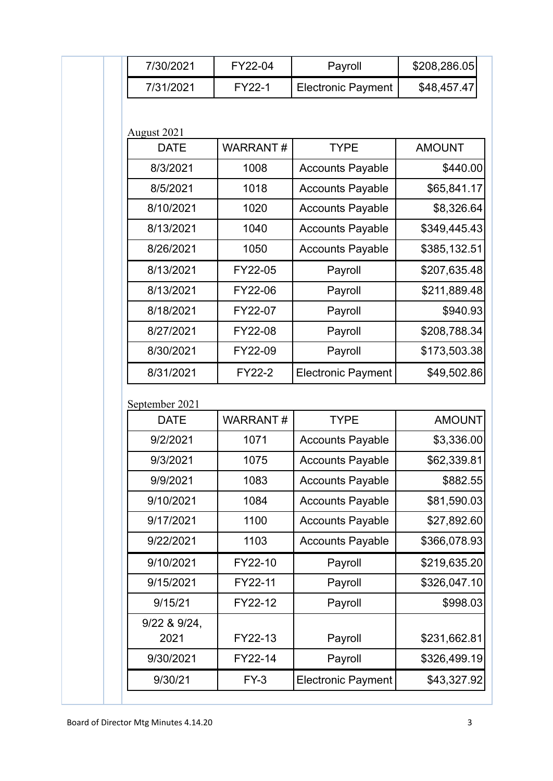|             | 7/30/2021            | FY22-04         | Payroll                   | \$208,286.05  |
|-------------|----------------------|-----------------|---------------------------|---------------|
|             | 7/31/2021            | FY22-1          | <b>Electronic Payment</b> | \$48,457.47   |
| August 2021 |                      |                 |                           |               |
|             | <b>DATE</b>          | <b>WARRANT#</b> | <b>TYPE</b>               | <b>AMOUNT</b> |
|             | 8/3/2021             | 1008            | <b>Accounts Payable</b>   | \$440.00      |
|             | 8/5/2021             | 1018            | <b>Accounts Payable</b>   | \$65,841.17   |
|             | 8/10/2021            | 1020            | <b>Accounts Payable</b>   | \$8,326.64    |
|             | 8/13/2021            | 1040            | <b>Accounts Payable</b>   | \$349,445.43  |
|             | 8/26/2021            | 1050            | <b>Accounts Payable</b>   | \$385,132.51  |
|             | 8/13/2021            | FY22-05         | Payroll                   | \$207,635.48  |
|             | 8/13/2021            | FY22-06         | Payroll                   | \$211,889.48  |
|             | 8/18/2021            | FY22-07         | Payroll                   | \$940.93      |
|             | 8/27/2021            | FY22-08         | Payroll                   | \$208,788.34  |
|             | 8/30/2021            | FY22-09         | Payroll                   | \$173,503.38  |
|             | 8/31/2021            | FY22-2          | <b>Electronic Payment</b> | \$49,502.86   |
|             | September 2021       |                 |                           |               |
|             | <b>DATE</b>          | <b>WARRANT#</b> | <b>TYPE</b>               | <b>AMOUNT</b> |
|             | 9/2/2021             | 1071            | <b>Accounts Payable</b>   | \$3,336.00    |
|             | 9/3/2021             | 1075            | <b>Accounts Payable</b>   | \$62,339.81   |
|             | 9/9/2021             | 1083            | <b>Accounts Payable</b>   | \$882.55      |
|             | 9/10/2021            | 1084            | <b>Accounts Payable</b>   | \$81,590.03   |
|             | 9/17/2021            | 1100            | <b>Accounts Payable</b>   | \$27,892.60   |
|             | 9/22/2021            | 1103            | <b>Accounts Payable</b>   | \$366,078.93  |
|             | 9/10/2021            | FY22-10         | Payroll                   | \$219,635.20  |
|             | 9/15/2021            | FY22-11         | Payroll                   | \$326,047.10  |
|             | 9/15/21              | FY22-12         | Payroll                   | \$998.03      |
|             | 9/22 & 9/24,<br>2021 | FY22-13         | Payroll                   | \$231,662.81  |
|             | 9/30/2021            | FY22-14         | Payroll                   | \$326,499.19  |
|             | 9/30/21              | $FY-3$          | <b>Electronic Payment</b> | \$43,327.92   |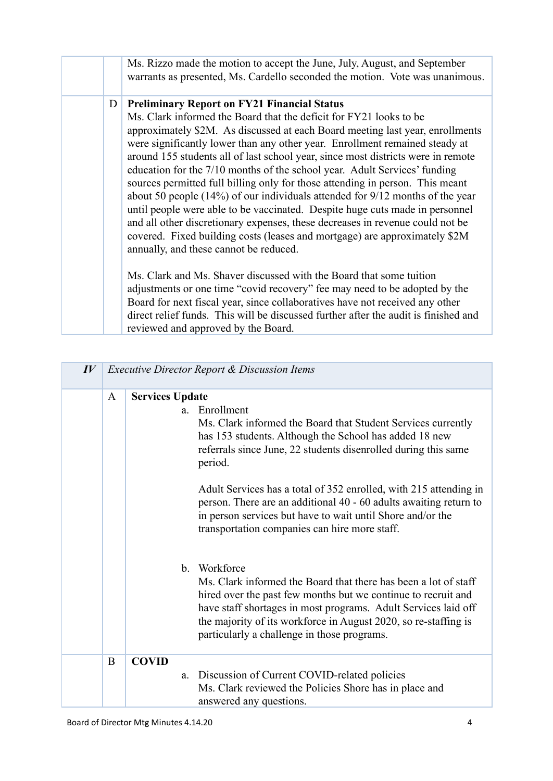|   | Ms. Rizzo made the motion to accept the June, July, August, and September<br>warrants as presented, Ms. Cardello seconded the motion. Vote was unanimous.                                                                                                                                                                                                                                                                                                                                                                                                                                                                                                                                                                                                                                                                                                                                                                 |
|---|---------------------------------------------------------------------------------------------------------------------------------------------------------------------------------------------------------------------------------------------------------------------------------------------------------------------------------------------------------------------------------------------------------------------------------------------------------------------------------------------------------------------------------------------------------------------------------------------------------------------------------------------------------------------------------------------------------------------------------------------------------------------------------------------------------------------------------------------------------------------------------------------------------------------------|
| D | <b>Preliminary Report on FY21 Financial Status</b><br>Ms. Clark informed the Board that the deficit for FY21 looks to be<br>approximately \$2M. As discussed at each Board meeting last year, enrollments<br>were significantly lower than any other year. Enrollment remained steady at<br>around 155 students all of last school year, since most districts were in remote<br>education for the 7/10 months of the school year. Adult Services' funding<br>sources permitted full billing only for those attending in person. This meant<br>about 50 people $(14\%)$ of our individuals attended for $9/12$ months of the year<br>until people were able to be vaccinated. Despite huge cuts made in personnel<br>and all other discretionary expenses, these decreases in revenue could not be<br>covered. Fixed building costs (leases and mortgage) are approximately \$2M<br>annually, and these cannot be reduced. |
|   | Ms. Clark and Ms. Shaver discussed with the Board that some tuition<br>adjustments or one time "covid recovery" fee may need to be adopted by the<br>Board for next fiscal year, since collaboratives have not received any other<br>direct relief funds. This will be discussed further after the audit is finished and<br>reviewed and approved by the Board.                                                                                                                                                                                                                                                                                                                                                                                                                                                                                                                                                           |

| $I\hspace{-.1em}V$ |   | <b>Executive Director Report &amp; Discussion Items</b> |                                                                                                                                                                                                                                                                                                                                                                                                                                                                               |  |
|--------------------|---|---------------------------------------------------------|-------------------------------------------------------------------------------------------------------------------------------------------------------------------------------------------------------------------------------------------------------------------------------------------------------------------------------------------------------------------------------------------------------------------------------------------------------------------------------|--|
|                    | A | <b>Services Update</b>                                  | a. Enrollment<br>Ms. Clark informed the Board that Student Services currently<br>has 153 students. Although the School has added 18 new<br>referrals since June, 22 students disenrolled during this same<br>period.<br>Adult Services has a total of 352 enrolled, with 215 attending in<br>person. There are an additional 40 - 60 adults awaiting return to<br>in person services but have to wait until Shore and/or the<br>transportation companies can hire more staff. |  |
|                    |   | $\mathbf{b}$ .                                          | Workforce<br>Ms. Clark informed the Board that there has been a lot of staff<br>hired over the past few months but we continue to recruit and<br>have staff shortages in most programs. Adult Services laid off<br>the majority of its workforce in August 2020, so re-staffing is<br>particularly a challenge in those programs.                                                                                                                                             |  |
|                    | B | <b>COVID</b><br>a.                                      | Discussion of Current COVID-related policies<br>Ms. Clark reviewed the Policies Shore has in place and<br>answered any questions.                                                                                                                                                                                                                                                                                                                                             |  |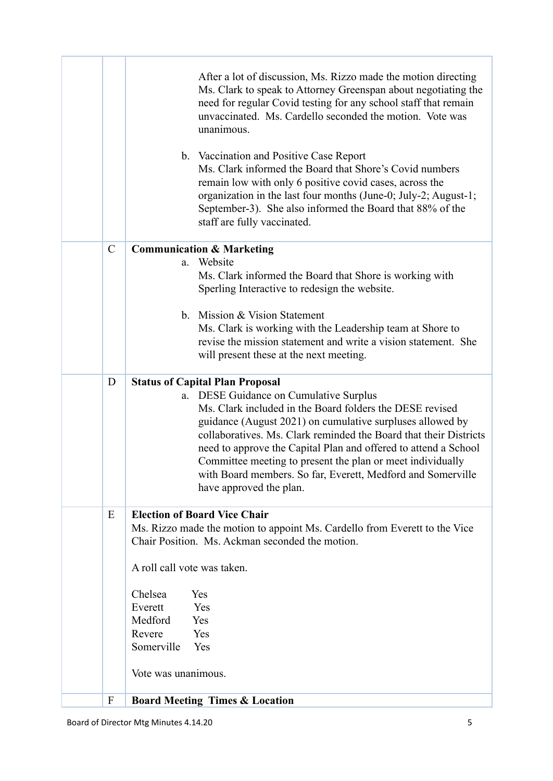|               | After a lot of discussion, Ms. Rizzo made the motion directing<br>Ms. Clark to speak to Attorney Greenspan about negotiating the<br>need for regular Covid testing for any school staff that remain<br>unvaccinated. Ms. Cardello seconded the motion. Vote was<br>unanimous.<br>b. Vaccination and Positive Case Report<br>Ms. Clark informed the Board that Shore's Covid numbers<br>remain low with only 6 positive covid cases, across the<br>organization in the last four months (June-0; July-2; August-1;<br>September-3). She also informed the Board that 88% of the<br>staff are fully vaccinated. |
|---------------|---------------------------------------------------------------------------------------------------------------------------------------------------------------------------------------------------------------------------------------------------------------------------------------------------------------------------------------------------------------------------------------------------------------------------------------------------------------------------------------------------------------------------------------------------------------------------------------------------------------|
| $\mathcal{C}$ | <b>Communication &amp; Marketing</b>                                                                                                                                                                                                                                                                                                                                                                                                                                                                                                                                                                          |
|               | Website<br>a.<br>Ms. Clark informed the Board that Shore is working with<br>Sperling Interactive to redesign the website.                                                                                                                                                                                                                                                                                                                                                                                                                                                                                     |
|               | b. Mission & Vision Statement<br>Ms. Clark is working with the Leadership team at Shore to<br>revise the mission statement and write a vision statement. She<br>will present these at the next meeting.                                                                                                                                                                                                                                                                                                                                                                                                       |
| D             | <b>Status of Capital Plan Proposal</b><br>a. DESE Guidance on Cumulative Surplus<br>Ms. Clark included in the Board folders the DESE revised<br>guidance (August 2021) on cumulative surpluses allowed by<br>collaboratives. Ms. Clark reminded the Board that their Districts<br>need to approve the Capital Plan and offered to attend a School<br>Committee meeting to present the plan or meet individually<br>with Board members. So far, Everett, Medford and Somerville<br>have approved the plan.                                                                                                     |
| E             | <b>Election of Board Vice Chair</b>                                                                                                                                                                                                                                                                                                                                                                                                                                                                                                                                                                           |
|               | Ms. Rizzo made the motion to appoint Ms. Cardello from Everett to the Vice<br>Chair Position. Ms. Ackman seconded the motion.<br>A roll call vote was taken.                                                                                                                                                                                                                                                                                                                                                                                                                                                  |
|               |                                                                                                                                                                                                                                                                                                                                                                                                                                                                                                                                                                                                               |
|               | Chelsea<br>Yes                                                                                                                                                                                                                                                                                                                                                                                                                                                                                                                                                                                                |
|               | Everett<br>Yes<br>Medford                                                                                                                                                                                                                                                                                                                                                                                                                                                                                                                                                                                     |
|               | Yes<br>Revere<br>Yes                                                                                                                                                                                                                                                                                                                                                                                                                                                                                                                                                                                          |
|               | Somerville<br>Yes                                                                                                                                                                                                                                                                                                                                                                                                                                                                                                                                                                                             |
|               | Vote was unanimous.                                                                                                                                                                                                                                                                                                                                                                                                                                                                                                                                                                                           |
| F             | <b>Board Meeting Times &amp; Location</b>                                                                                                                                                                                                                                                                                                                                                                                                                                                                                                                                                                     |